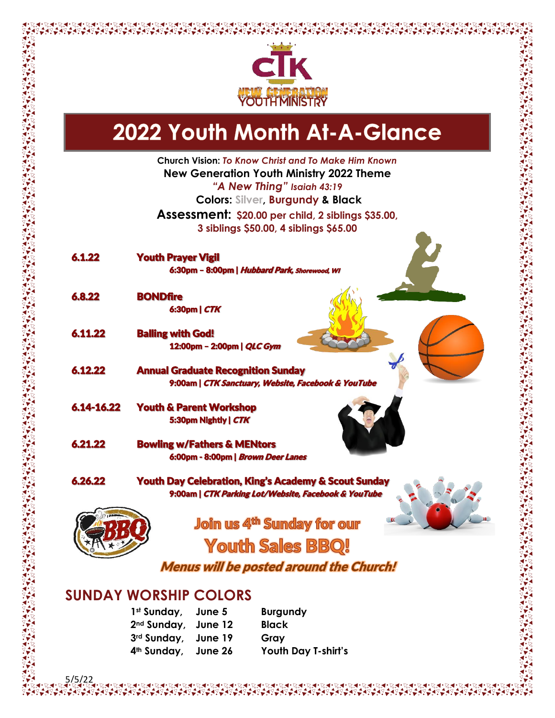

## 2022 Youth Month At-A-Glance

**Church Vision:** *To Know Christ and To Make Him Known* **New Generation Youth Ministry 2022 Theme** *"A New Thing" Isaiah 43:19* **Colors: Silver, Burgundy & Black Assessment: \$20.00 per child, 2 siblings \$35.00, 3 siblings \$50.00, 4 siblings \$65.00** 6.1.22 Youth Prayer Vigil 6:30pm – 8:00pm | Hubbard Park, Shorewood, WI 6.8.22 BONDfire 6:30pm | CTK 6.11.22 Balling with God! 12:00pm – 2:00pm | QLC Gym 6.12.22 Annual Graduate Recognition Sunday 9:00am | CTK Sanctuary, Website, Facebook & YouTube 6.14-16.22 Youth & Parent Workshop 5:30pm Nightly | CTK 6.21.22 Bowling w/Fathers & MENtors 6:00pm - 8:00pm | Brown Deer Lanes 6.26.22 Youth Day Celebration, King's Academy & Scout Sunday 9:00am | CTK Parking Lot/Website, Facebook & YouTube **Join us 4<sup>th</sup> Sunday for our Youth Sales BBQ!** Menus will be posted around the Church!

## **SUNDAY WORSHIP COLORS**

5/5/22

| 1st Sunday, June 5              | <b>Burgundy</b>     |
|---------------------------------|---------------------|
| 2 <sup>nd</sup> Sunday, June 12 | <b>Black</b>        |
| 3rd Sunday, June 19             | Gray                |
| 4 <sup>th</sup> Sunday, June 26 | Youth Day T-shirt's |